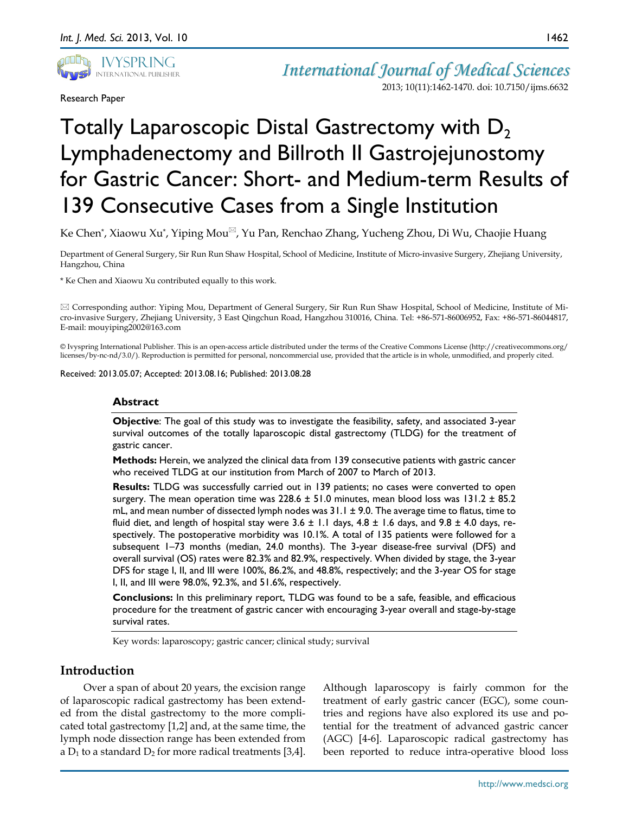

Research Paper

# Totally Laparoscopic Distal Gastrectomy with  $D_2$ Lymphadenectomy and Billroth II Gastrojejunostomy for Gastric Cancer: Short- and Medium-term Results of 139 Consecutive Cases from a Single Institution

Ke Chen\*, Xiaowu Xu\*, Yiping Mou<sup>⊠</sup>, Yu Pan, Renchao Zhang, Yucheng Zhou, Di Wu, Chaojie Huang

Department of General Surgery, Sir Run Run Shaw Hospital, School of Medicine, Institute of Micro-invasive Surgery, Zhejiang University, Hangzhou, China

\* Ke Chen and Xiaowu Xu contributed equally to this work.

 Corresponding author: Yiping Mou, Department of General Surgery, Sir Run Run Shaw Hospital, School of Medicine, Institute of Micro-invasive Surgery, Zhejiang University, 3 East Qingchun Road, Hangzhou 310016, China. Tel: +86-571-86006952, Fax: +86-571-86044817, E-mail: mouyiping2002@163.com

© Ivyspring International Publisher. This is an open-access article distributed under the terms of the Creative Commons License (http://creativecommons.org/ licenses/by-nc-nd/3.0/). Reproduction is permitted for personal, noncommercial use, provided that the article is in whole, unmodified, and properly cited.

Received: 2013.05.07; Accepted: 2013.08.16; Published: 2013.08.28

## **Abstract**

**Objective**: The goal of this study was to investigate the feasibility, safety, and associated 3-year survival outcomes of the totally laparoscopic distal gastrectomy (TLDG) for the treatment of gastric cancer.

**Methods:** Herein, we analyzed the clinical data from 139 consecutive patients with gastric cancer who received TLDG at our institution from March of 2007 to March of 2013.

**Results:** TLDG was successfully carried out in 139 patients; no cases were converted to open surgery. The mean operation time was 228.6  $\pm$  51.0 minutes, mean blood loss was 131.2  $\pm$  85.2 mL, and mean number of dissected lymph nodes was  $31.1 \pm 9.0$ . The average time to flatus, time to fluid diet, and length of hospital stay were  $3.6 \pm 1.1$  days,  $4.8 \pm 1.6$  days, and  $9.8 \pm 4.0$  days, respectively. The postoperative morbidity was 10.1%. A total of 135 patients were followed for a subsequent 1–73 months (median, 24.0 months). The 3-year disease-free survival (DFS) and overall survival (OS) rates were 82.3% and 82.9%, respectively. When divided by stage, the 3-year DFS for stage I, II, and III were 100%, 86.2%, and 48.8%, respectively; and the 3-year OS for stage I, II, and III were 98.0%, 92.3%, and 51.6%, respectively.

**Conclusions:** In this preliminary report, TLDG was found to be a safe, feasible, and efficacious procedure for the treatment of gastric cancer with encouraging 3-year overall and stage-by-stage survival rates.

Key words: laparoscopy; gastric cancer; clinical study; survival

# **Introduction**

Over a span of about 20 years, the excision range of laparoscopic radical gastrectomy has been extended from the distal gastrectomy to the more complicated total gastrectomy [1,2] and, at the same time, the lymph node dissection range has been extended from a  $D_1$  to a standard  $D_2$  for more radical treatments [3,4]. Although laparoscopy is fairly common for the treatment of early gastric cancer (EGC), some countries and regions have also explored its use and potential for the treatment of advanced gastric cancer (AGC) [4-6]. Laparoscopic radical gastrectomy has been reported to reduce intra-operative blood loss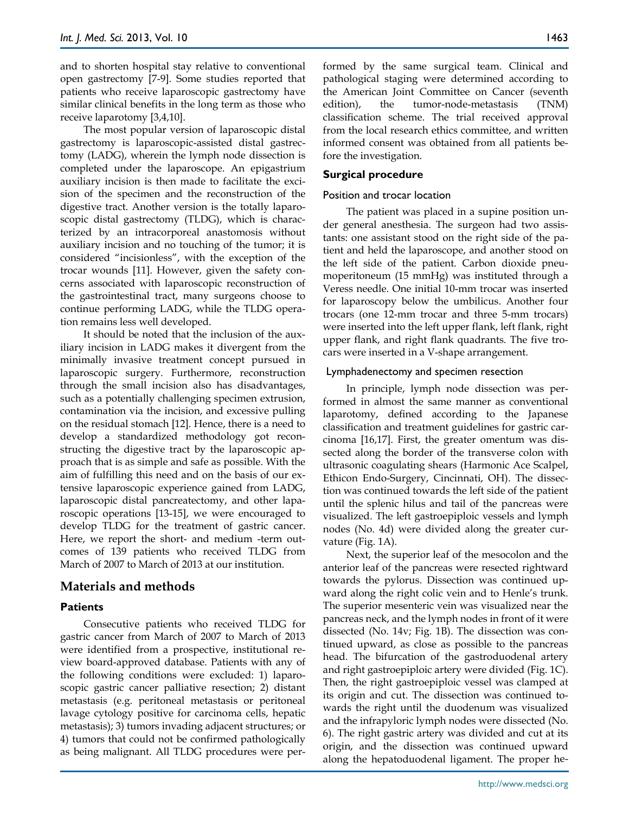and to shorten hospital stay relative to conventional open gastrectomy [7-9]. Some studies reported that patients who receive laparoscopic gastrectomy have similar clinical benefits in the long term as those who receive laparotomy [3,4,10].

The most popular version of laparoscopic distal gastrectomy is laparoscopic-assisted distal gastrectomy (LADG), wherein the lymph node dissection is completed under the laparoscope. An epigastrium auxiliary incision is then made to facilitate the excision of the specimen and the reconstruction of the digestive tract. Another version is the totally laparoscopic distal gastrectomy (TLDG), which is characterized by an intracorporeal anastomosis without auxiliary incision and no touching of the tumor; it is considered "incisionless", with the exception of the trocar wounds [11]. However, given the safety concerns associated with laparoscopic reconstruction of the gastrointestinal tract, many surgeons choose to continue performing LADG, while the TLDG operation remains less well developed.

It should be noted that the inclusion of the auxiliary incision in LADG makes it divergent from the minimally invasive treatment concept pursued in laparoscopic surgery. Furthermore, reconstruction through the small incision also has disadvantages, such as a potentially challenging specimen extrusion, contamination via the incision, and excessive pulling on the residual stomach [12]. Hence, there is a need to develop a standardized methodology got reconstructing the digestive tract by the laparoscopic approach that is as simple and safe as possible. With the aim of fulfilling this need and on the basis of our extensive laparoscopic experience gained from LADG, laparoscopic distal pancreatectomy, and other laparoscopic operations [13-15], we were encouraged to develop TLDG for the treatment of gastric cancer. Here, we report the short- and medium -term outcomes of 139 patients who received TLDG from March of 2007 to March of 2013 at our institution.

# **Materials and methods**

## **Patients**

Consecutive patients who received TLDG for gastric cancer from March of 2007 to March of 2013 were identified from a prospective, institutional review board-approved database. Patients with any of the following conditions were excluded: 1) laparoscopic gastric cancer palliative resection; 2) distant metastasis (e.g. peritoneal metastasis or peritoneal lavage cytology positive for carcinoma cells, hepatic metastasis); 3) tumors invading adjacent structures; or 4) tumors that could not be confirmed pathologically as being malignant. All TLDG procedures were performed by the same surgical team. Clinical and pathological staging were determined according to the American Joint Committee on Cancer (seventh edition), the tumor-node-metastasis (TNM) classification scheme. The trial received approval from the local research ethics committee, and written informed consent was obtained from all patients before the investigation.

# **Surgical procedure**

## Position and trocar location

The patient was placed in a supine position under general anesthesia. The surgeon had two assistants: one assistant stood on the right side of the patient and held the laparoscope, and another stood on the left side of the patient. Carbon dioxide pneumoperitoneum (15 mmHg) was instituted through a Veress needle. One initial 10-mm trocar was inserted for laparoscopy below the umbilicus. Another four trocars (one 12-mm trocar and three 5-mm trocars) were inserted into the left upper flank, left flank, right upper flank, and right flank quadrants. The five trocars were inserted in a V-shape arrangement.

## Lymphadenectomy and specimen resection

In principle, lymph node dissection was performed in almost the same manner as conventional laparotomy, defined according to the Japanese classification and treatment guidelines for gastric carcinoma [16,17]. First, the greater omentum was dissected along the border of the transverse colon with ultrasonic coagulating shears (Harmonic Ace Scalpel, Ethicon Endo-Surgery, Cincinnati, OH). The dissection was continued towards the left side of the patient until the splenic hilus and tail of the pancreas were visualized. The left gastroepiploic vessels and lymph nodes (No. 4d) were divided along the greater curvature (Fig. 1A).

Next, the superior leaf of the mesocolon and the anterior leaf of the pancreas were resected rightward towards the pylorus. Dissection was continued upward along the right colic vein and to Henle's trunk. The superior mesenteric vein was visualized near the pancreas neck, and the lymph nodes in front of it were dissected (No. 14v; Fig. 1B). The dissection was continued upward, as close as possible to the pancreas head. The bifurcation of the gastroduodenal artery and right gastroepiploic artery were divided (Fig. 1C). Then, the right gastroepiploic vessel was clamped at its origin and cut. The dissection was continued towards the right until the duodenum was visualized and the infrapyloric lymph nodes were dissected (No. 6). The right gastric artery was divided and cut at its origin, and the dissection was continued upward along the hepatoduodenal ligament. The proper he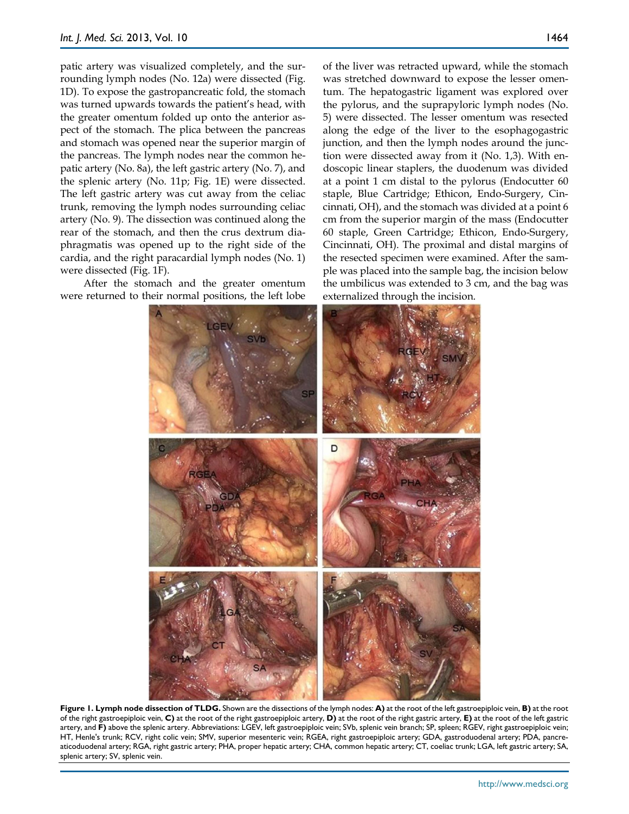patic artery was visualized completely, and the surrounding lymph nodes (No. 12a) were dissected (Fig. 1D). To expose the gastropancreatic fold, the stomach was turned upwards towards the patient's head, with the greater omentum folded up onto the anterior aspect of the stomach. The plica between the pancreas and stomach was opened near the superior margin of the pancreas. The lymph nodes near the common hepatic artery (No. 8a), the left gastric artery (No. 7), and the splenic artery (No. 11p; Fig. 1E) were dissected. The left gastric artery was cut away from the celiac trunk, removing the lymph nodes surrounding celiac artery (No. 9). The dissection was continued along the rear of the stomach, and then the crus dextrum diaphragmatis was opened up to the right side of the cardia, and the right paracardial lymph nodes (No. 1) were dissected (Fig. 1F).

After the stomach and the greater omentum were returned to their normal positions, the left lobe

of the liver was retracted upward, while the stomach was stretched downward to expose the lesser omentum. The hepatogastric ligament was explored over the pylorus, and the suprapyloric lymph nodes (No. 5) were dissected. The lesser omentum was resected along the edge of the liver to the esophagogastric junction, and then the lymph nodes around the junction were dissected away from it (No. 1,3). With endoscopic linear staplers, the duodenum was divided at a point 1 cm distal to the pylorus (Endocutter 60 staple, Blue Cartridge; Ethicon, Endo-Surgery, Cincinnati, OH), and the stomach was divided at a point 6 cm from the superior margin of the mass (Endocutter 60 staple, Green Cartridge; Ethicon, Endo-Surgery, Cincinnati, OH). The proximal and distal margins of the resected specimen were examined. After the sample was placed into the sample bag, the incision below the umbilicus was extended to 3 cm, and the bag was externalized through the incision.



**Figure 1. Lymph node dissection of TLDG.** Shown are the dissections of the lymph nodes: **A)** at the root of the left gastroepiploic vein, **B)** at the root of the right gastroepiploic vein, **C)** at the root of the right gastroepiploic artery, **D)** at the root of the right gastric artery, **E)** at the root of the left gastric artery, and **F)** above the splenic artery. Abbreviations: LGEV, left gastroepiploic vein; SVb, splenic vein branch; SP, spleen; RGEV, right gastroepiploic vein; HT, Henle's trunk; RCV, right colic vein; SMV, superior mesenteric vein; RGEA, right gastroepiploic artery; GDA, gastroduodenal artery; PDA, pancreaticoduodenal artery; RGA, right gastric artery; PHA, proper hepatic artery; CHA, common hepatic artery; CT, coeliac trunk; LGA, left gastric artery; SA, splenic artery; SV, splenic vein.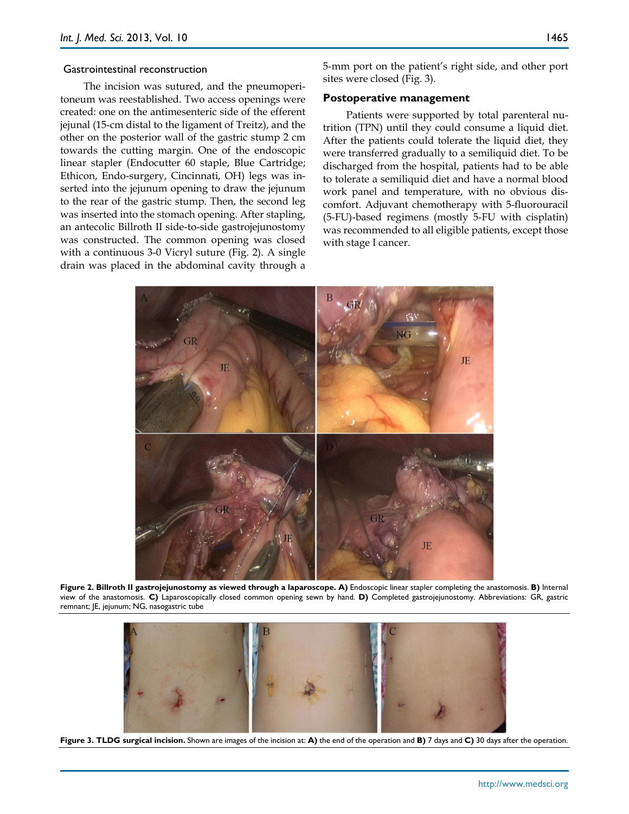#### Gastrointestinal reconstruction

The incision was sutured, and the pneumoperitoneum was reestablished. Two access openings were created: one on the antimesenteric side of the efferent jejunal (15-cm distal to the ligament of Treitz), and the other on the posterior wall of the gastric stump 2 cm towards the cutting margin. One of the endoscopic linear stapler (Endocutter 60 staple, Blue Cartridge; Ethicon, Endo-surgery, Cincinnati, OH) legs was inserted into the jejunum opening to draw the jejunum to the rear of the gastric stump. Then, the second leg was inserted into the stomach opening. After stapling, an antecolic Billroth II side-to-side gastrojejunostomy was constructed. The common opening was closed with a continuous 3-0 Vicryl suture (Fig. 2). A single drain was placed in the abdominal cavity through a

5-mm port on the patient's right side, and other port sites were closed (Fig. 3).

#### **Postoperative management**

Patients were supported by total parenteral nutrition (TPN) until they could consume a liquid diet. After the patients could tolerate the liquid diet, they were transferred gradually to a semiliquid diet. To be discharged from the hospital, patients had to be able to tolerate a semiliquid diet and have a normal blood work panel and temperature, with no obvious discomfort. Adjuvant chemotherapy with 5-fluorouracil (5-FU)-based regimens (mostly 5-FU with cisplatin) was recommended to all eligible patients, except those with stage I cancer.



**Figure 2. Billroth II gastrojejunostomy as viewed through a laparoscope. A)** Endoscopic linear stapler completing the anastomosis. **B)** Internal view of the anastomosis. **C)** Laparoscopically closed common opening sewn by hand. **D)** Completed gastrojejunostomy. Abbreviations: GR, gastric remnant; JE, jejunum; NG, nasogastric tube



**Figure 3. TLDG surgical incision.** Shown are images of the incision at: **A)** the end of the operation and **B)** 7 days and **C)** 30 days after the operation.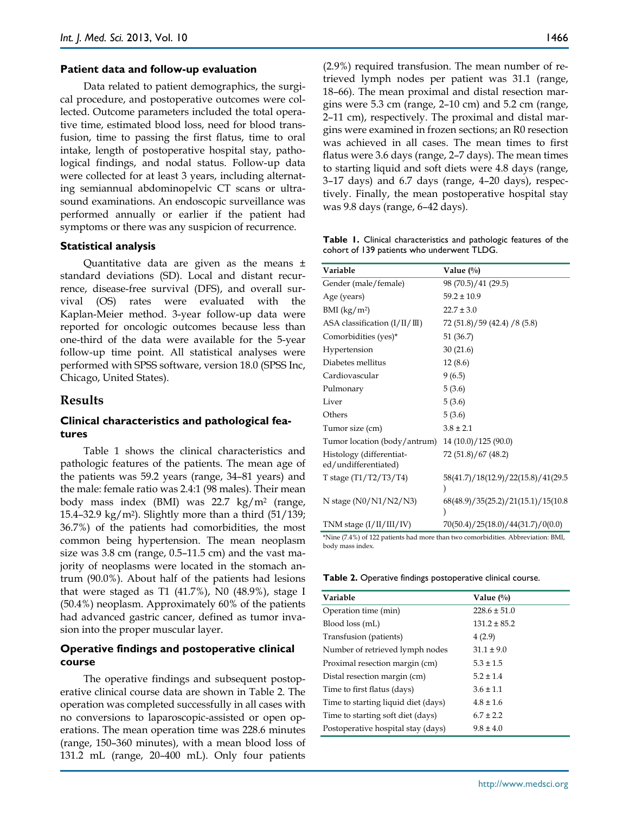### **Patient data and follow-up evaluation**

Data related to patient demographics, the surgical procedure, and postoperative outcomes were collected. Outcome parameters included the total operative time, estimated blood loss, need for blood transfusion, time to passing the first flatus, time to oral intake, length of postoperative hospital stay, pathological findings, and nodal status. Follow-up data were collected for at least 3 years, including alternating semiannual abdominopelvic CT scans or ultrasound examinations. An endoscopic surveillance was performed annually or earlier if the patient had symptoms or there was any suspicion of recurrence.

## **Statistical analysis**

Quantitative data are given as the means ± standard deviations (SD). Local and distant recurrence, disease-free survival (DFS), and overall survival (OS) rates were evaluated with the Kaplan-Meier method. 3-year follow-up data were reported for oncologic outcomes because less than one-third of the data were available for the 5-year follow-up time point. All statistical analyses were performed with SPSS software, version 18.0 (SPSS Inc, Chicago, United States).

## **Results**

## **Clinical characteristics and pathological features**

Table 1 shows the clinical characteristics and pathologic features of the patients. The mean age of the patients was 59.2 years (range, 34–81 years) and the male: female ratio was 2.4:1 (98 males). Their mean body mass index (BMI) was 22.7 kg/m2 (range, 15.4–32.9 kg/m2). Slightly more than a third (51/139; 36.7%) of the patients had comorbidities, the most common being hypertension. The mean neoplasm size was 3.8 cm (range, 0.5–11.5 cm) and the vast majority of neoplasms were located in the stomach antrum (90.0%). About half of the patients had lesions that were staged as T1  $(41.7%)$ , N0  $(48.9%)$ , stage I (50.4%) neoplasm. Approximately 60% of the patients had advanced gastric cancer, defined as tumor invasion into the proper muscular layer.

## **Operative findings and postoperative clinical course**

The operative findings and subsequent postoperative clinical course data are shown in Table 2. The operation was completed successfully in all cases with no conversions to laparoscopic-assisted or open operations. The mean operation time was 228.6 minutes (range, 150–360 minutes), with a mean blood loss of 131.2 mL (range, 20–400 mL). Only four patients (2.9%) required transfusion. The mean number of retrieved lymph nodes per patient was 31.1 (range, 18–66). The mean proximal and distal resection margins were 5.3 cm (range, 2–10 cm) and 5.2 cm (range, 2–11 cm), respectively. The proximal and distal margins were examined in frozen sections; an R0 resection was achieved in all cases. The mean times to first flatus were 3.6 days (range, 2–7 days). The mean times to starting liquid and soft diets were 4.8 days (range, 3–17 days) and 6.7 days (range, 4–20 days), respectively. Finally, the mean postoperative hospital stay was 9.8 days (range, 6–42 days).

**Table 1.** Clinical characteristics and pathologic features of the cohort of 139 patients who underwent TLDG.

| Variable                                         | Value $\left(\frac{0}{0}\right)$    |
|--------------------------------------------------|-------------------------------------|
| Gender (male/female)                             | 98 (70.5)/41 (29.5)                 |
| Age (years)                                      | $59.2 \pm 10.9$                     |
| $BMI$ (kg/m <sup>2</sup> )                       | $22.7 \pm 3.0$                      |
| ASA classification $(I/II/III)$                  | 72 (51.8)/59 (42.4) /8 (5.8)        |
| Comorbidities (yes)*                             | 51 (36.7)                           |
| Hypertension                                     | 30(21.6)                            |
| Diabetes mellitus                                | 12(8.6)                             |
| Cardiovascular                                   | 9(6.5)                              |
| Pulmonary                                        | 5(3.6)                              |
| Liver                                            | 5(3.6)                              |
| Others                                           | 5(3.6)                              |
| Tumor size (cm)                                  | $3.8 \pm 2.1$                       |
| Tumor location (body/antrum)                     | 14 (10.0)/125 (90.0)                |
| Histology (differentiat-<br>ed/undifferentiated) | 72 (51.8)/67 (48.2)                 |
| T stage $(T1/T2/T3/T4)$                          | 58(41.7)/18(12.9)/22(15.8)/41(29.5  |
| N stage $(N0/N1/N2/N3)$                          | 68(48.9)/35(25.2)/21(15.1)/15(10.8) |
| TNM stage $(I/II/III/IV)$                        | 70(50.4)/25(18.0)/44(31.7)/0(0.0)   |

\*Nine (7.4%) of 122 patients had more than two comorbidities. Abbreviation: BMI, body mass index.

|  |  |  | Table 2. Operative findings postoperative clinical course. |  |  |
|--|--|--|------------------------------------------------------------|--|--|
|--|--|--|------------------------------------------------------------|--|--|

| Variable                            | Value (%)        |
|-------------------------------------|------------------|
| Operation time (min)                | $228.6 \pm 51.0$ |
| Blood loss (mL)                     | $131.2 \pm 85.2$ |
| Transfusion (patients)              | 4(2.9)           |
| Number of retrieved lymph nodes     | $31.1 \pm 9.0$   |
| Proximal resection margin (cm)      | $5.3 \pm 1.5$    |
| Distal resection margin (cm)        | $5.2 \pm 1.4$    |
| Time to first flatus (days)         | $3.6 \pm 1.1$    |
| Time to starting liquid diet (days) | $4.8 \pm 1.6$    |
| Time to starting soft diet (days)   | $6.7 \pm 2.2$    |
| Postoperative hospital stay (days)  | $9.8 \pm 4.0$    |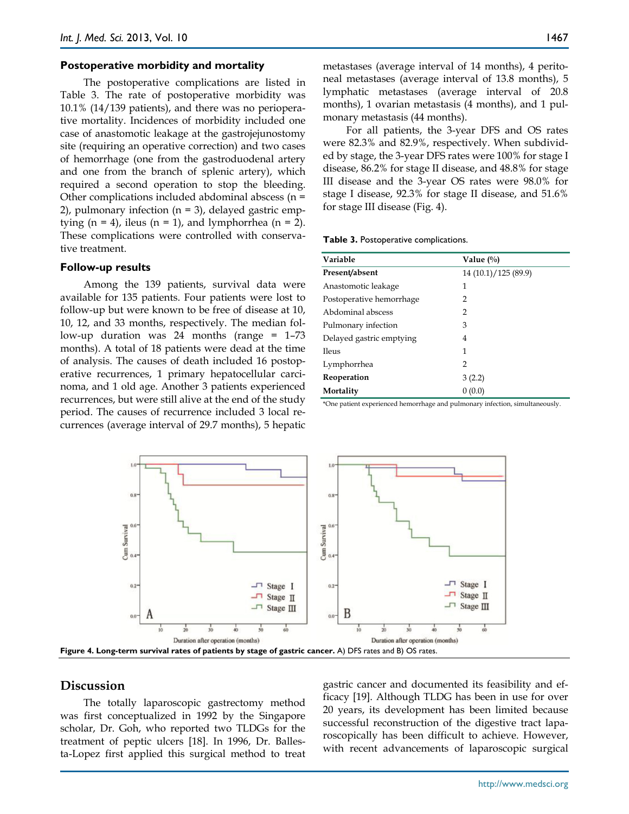#### **Postoperative morbidity and mortality**

The postoperative complications are listed in Table 3. The rate of postoperative morbidity was 10.1% (14/139 patients), and there was no perioperative mortality. Incidences of morbidity included one case of anastomotic leakage at the gastrojejunostomy site (requiring an operative correction) and two cases of hemorrhage (one from the gastroduodenal artery and one from the branch of splenic artery), which required a second operation to stop the bleeding. Other complications included abdominal abscess (n = 2), pulmonary infection  $(n = 3)$ , delayed gastric emptying  $(n = 4)$ , ileus  $(n = 1)$ , and lymphorrhea  $(n = 2)$ . These complications were controlled with conservative treatment.

#### **Follow-up results**

Among the 139 patients, survival data were available for 135 patients. Four patients were lost to follow-up but were known to be free of disease at 10, 10, 12, and 33 months, respectively. The median follow-up duration was 24 months (range = 1–73 months). A total of 18 patients were dead at the time of analysis. The causes of death included 16 postoperative recurrences, 1 primary hepatocellular carcinoma, and 1 old age. Another 3 patients experienced recurrences, but were still alive at the end of the study period. The causes of recurrence included 3 local recurrences (average interval of 29.7 months), 5 hepatic metastases (average interval of 14 months), 4 peritoneal metastases (average interval of 13.8 months), 5 lymphatic metastases (average interval of 20.8 months), 1 ovarian metastasis (4 months), and 1 pulmonary metastasis (44 months).

For all patients, the 3-year DFS and OS rates were 82.3% and 82.9%, respectively. When subdivided by stage, the 3-year DFS rates were 100% for stage I disease, 86.2% for stage II disease, and 48.8% for stage III disease and the 3-year OS rates were 98.0% for stage I disease, 92.3% for stage II disease, and 51.6% for stage III disease (Fig. 4).

**Table 3.** Postoperative complications.

| Variable                 | Value $\left(\frac{0}{0}\right)$ |
|--------------------------|----------------------------------|
| Present/absent           | 14 (10.1)/125 (89.9)             |
| Anastomotic leakage      | 1                                |
| Postoperative hemorrhage | $\overline{2}$                   |
| Abdominal abscess        | 2                                |
| Pulmonary infection      | 3                                |
| Delayed gastric emptying | 4                                |
| <b>Ileus</b>             | 1                                |
| Lymphorrhea              | 2                                |
| Reoperation              | 3(2.2)                           |
| Mortality                | 0(0.0)                           |

\*One patient experienced hemorrhage and pulmonary infection, simultaneously.



## **Discussion**

The totally laparoscopic gastrectomy method was first conceptualized in 1992 by the Singapore scholar, Dr. Goh, who reported two TLDGs for the treatment of peptic ulcers [18]. In 1996, Dr. Ballesta-Lopez first applied this surgical method to treat gastric cancer and documented its feasibility and efficacy [19]. Although TLDG has been in use for over 20 years, its development has been limited because successful reconstruction of the digestive tract laparoscopically has been difficult to achieve. However, with recent advancements of laparoscopic surgical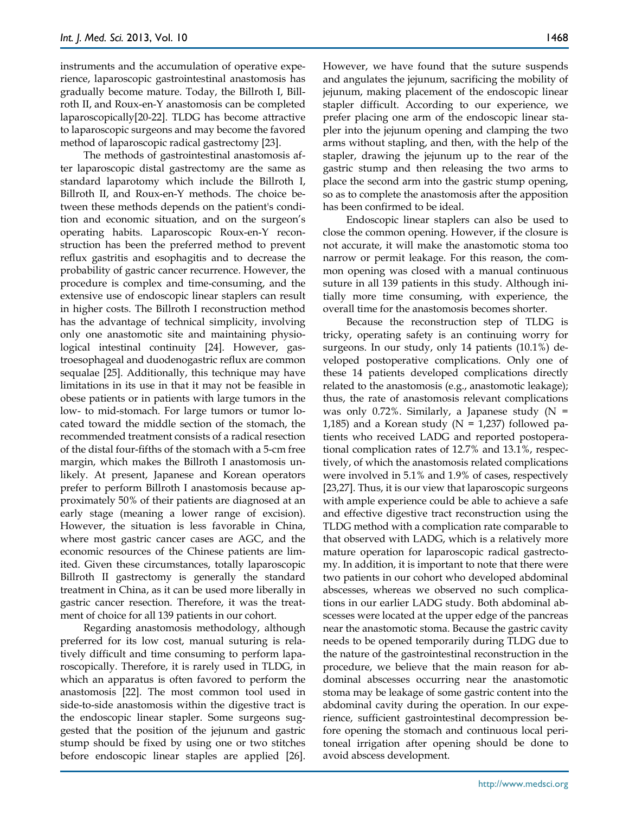instruments and the accumulation of operative experience, laparoscopic gastrointestinal anastomosis has gradually become mature. Today, the Billroth I, Billroth II, and Roux-en-Y anastomosis can be completed laparoscopically[20-22]. TLDG has become attractive to laparoscopic surgeons and may become the favored method of laparoscopic radical gastrectomy [23].

The methods of gastrointestinal anastomosis after laparoscopic distal gastrectomy are the same as standard laparotomy which include the Billroth I, Billroth II, and Roux-en-Y methods. The choice between these methods depends on the patient's condition and economic situation, and on the surgeon's operating habits. Laparoscopic Roux-en-Y reconstruction has been the preferred method to prevent reflux gastritis and esophagitis and to decrease the probability of gastric cancer recurrence. However, the procedure is complex and time-consuming, and the extensive use of endoscopic linear staplers can result in higher costs. The Billroth I reconstruction method has the advantage of technical simplicity, involving only one anastomotic site and maintaining physiological intestinal continuity [24]. However, gastroesophageal and duodenogastric reflux are common sequalae [25]. Additionally, this technique may have limitations in its use in that it may not be feasible in obese patients or in patients with large tumors in the low- to mid-stomach. For large tumors or tumor located toward the middle section of the stomach, the recommended treatment consists of a radical resection of the distal four-fifths of the stomach with a 5-cm free margin, which makes the Billroth I anastomosis unlikely. At present, Japanese and Korean operators prefer to perform Billroth I anastomosis because approximately 50% of their patients are diagnosed at an early stage (meaning a lower range of excision). However, the situation is less favorable in China, where most gastric cancer cases are AGC, and the economic resources of the Chinese patients are limited. Given these circumstances, totally laparoscopic Billroth II gastrectomy is generally the standard treatment in China, as it can be used more liberally in gastric cancer resection. Therefore, it was the treatment of choice for all 139 patients in our cohort.

Regarding anastomosis methodology, although preferred for its low cost, manual suturing is relatively difficult and time consuming to perform laparoscopically. Therefore, it is rarely used in TLDG, in which an apparatus is often favored to perform the anastomosis [22]. The most common tool used in side-to-side anastomosis within the digestive tract is the endoscopic linear stapler. Some surgeons suggested that the position of the jejunum and gastric stump should be fixed by using one or two stitches before endoscopic linear staples are applied [26].

However, we have found that the suture suspends and angulates the jejunum, sacrificing the mobility of jejunum, making placement of the endoscopic linear stapler difficult. According to our experience, we prefer placing one arm of the endoscopic linear stapler into the jejunum opening and clamping the two arms without stapling, and then, with the help of the stapler, drawing the jejunum up to the rear of the gastric stump and then releasing the two arms to place the second arm into the gastric stump opening, so as to complete the anastomosis after the apposition has been confirmed to be ideal.

Endoscopic linear staplers can also be used to close the common opening. However, if the closure is not accurate, it will make the anastomotic stoma too narrow or permit leakage. For this reason, the common opening was closed with a manual continuous suture in all 139 patients in this study. Although initially more time consuming, with experience, the overall time for the anastomosis becomes shorter.

Because the reconstruction step of TLDG is tricky, operating safety is an continuing worry for surgeons. In our study, only 14 patients (10.1%) developed postoperative complications. Only one of these 14 patients developed complications directly related to the anastomosis (e.g., anastomotic leakage); thus, the rate of anastomosis relevant complications was only 0.72%. Similarly, a Japanese study  $(N =$ 1,185) and a Korean study ( $N = 1,237$ ) followed patients who received LADG and reported postoperational complication rates of 12.7% and 13.1%, respectively, of which the anastomosis related complications were involved in 5.1% and 1.9% of cases, respectively [23,27]. Thus, it is our view that laparoscopic surgeons with ample experience could be able to achieve a safe and effective digestive tract reconstruction using the TLDG method with a complication rate comparable to that observed with LADG, which is a relatively more mature operation for laparoscopic radical gastrectomy. In addition, it is important to note that there were two patients in our cohort who developed abdominal abscesses, whereas we observed no such complications in our earlier LADG study. Both abdominal abscesses were located at the upper edge of the pancreas near the anastomotic stoma. Because the gastric cavity needs to be opened temporarily during TLDG due to the nature of the gastrointestinal reconstruction in the procedure, we believe that the main reason for abdominal abscesses occurring near the anastomotic stoma may be leakage of some gastric content into the abdominal cavity during the operation. In our experience, sufficient gastrointestinal decompression before opening the stomach and continuous local peritoneal irrigation after opening should be done to avoid abscess development.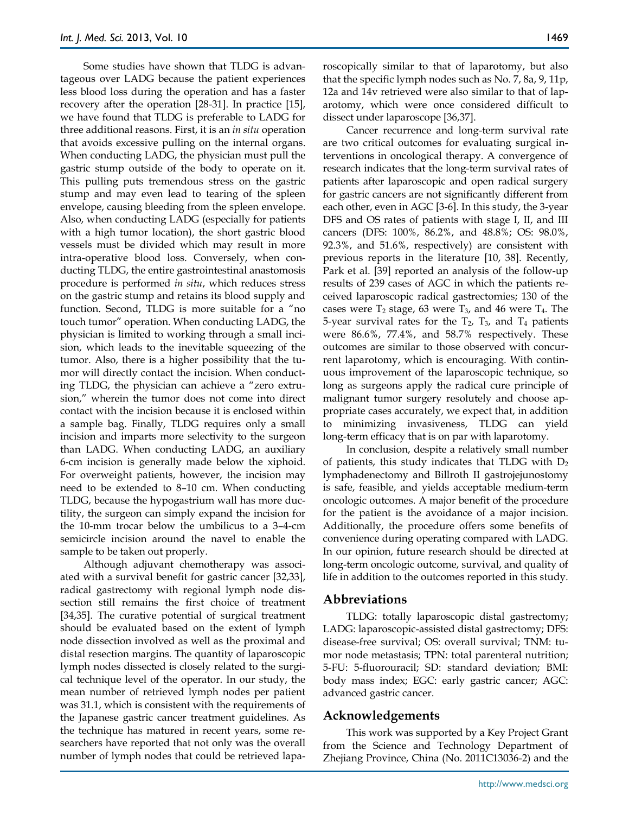Some studies have shown that TLDG is advantageous over LADG because the patient experiences less blood loss during the operation and has a faster recovery after the operation [28-31]. In practice [15], we have found that TLDG is preferable to LADG for three additional reasons. First, it is an *in situ* operation that avoids excessive pulling on the internal organs. When conducting LADG, the physician must pull the gastric stump outside of the body to operate on it. This pulling puts tremendous stress on the gastric stump and may even lead to tearing of the spleen envelope, causing bleeding from the spleen envelope. Also, when conducting LADG (especially for patients with a high tumor location), the short gastric blood vessels must be divided which may result in more intra-operative blood loss. Conversely, when conducting TLDG, the entire gastrointestinal anastomosis procedure is performed *in situ*, which reduces stress on the gastric stump and retains its blood supply and function. Second, TLDG is more suitable for a "no touch tumor" operation. When conducting LADG, the physician is limited to working through a small incision, which leads to the inevitable squeezing of the tumor. Also, there is a higher possibility that the tumor will directly contact the incision. When conducting TLDG, the physician can achieve a "zero extrusion," wherein the tumor does not come into direct contact with the incision because it is enclosed within a sample bag. Finally, TLDG requires only a small incision and imparts more selectivity to the surgeon than LADG. When conducting LADG, an auxiliary 6-cm incision is generally made below the xiphoid. For overweight patients, however, the incision may need to be extended to 8–10 cm. When conducting TLDG, because the hypogastrium wall has more ductility, the surgeon can simply expand the incision for the 10-mm trocar below the umbilicus to a 3–4-cm semicircle incision around the navel to enable the sample to be taken out properly.

Although adjuvant chemotherapy was associated with a survival benefit for gastric cancer [32,33], radical gastrectomy with regional lymph node dissection still remains the first choice of treatment [34,35]. The curative potential of surgical treatment should be evaluated based on the extent of lymph node dissection involved as well as the proximal and distal resection margins. The quantity of laparoscopic lymph nodes dissected is closely related to the surgical technique level of the operator. In our study, the mean number of retrieved lymph nodes per patient was 31.1, which is consistent with the requirements of the Japanese gastric cancer treatment guidelines. As the technique has matured in recent years, some researchers have reported that not only was the overall number of lymph nodes that could be retrieved laparoscopically similar to that of laparotomy, but also that the specific lymph nodes such as No. 7, 8a, 9, 11p, 12a and 14v retrieved were also similar to that of laparotomy, which were once considered difficult to dissect under laparoscope [36,37].

Cancer recurrence and long-term survival rate are two critical outcomes for evaluating surgical interventions in oncological therapy. A convergence of research indicates that the long-term survival rates of patients after laparoscopic and open radical surgery for gastric cancers are not significantly different from each other, even in AGC [3-6]. In this study, the 3-year DFS and OS rates of patients with stage I, II, and III cancers (DFS: 100%, 86.2%, and 48.8%; OS: 98.0%, 92.3%, and 51.6%, respectively) are consistent with previous reports in the literature [10, 38]. Recently, Park et al. [39] reported an analysis of the follow-up results of 239 cases of AGC in which the patients received laparoscopic radical gastrectomies; 130 of the cases were  $T_2$  stage, 63 were  $T_3$ , and 46 were  $T_4$ . The 5-year survival rates for the  $T_2$ ,  $T_3$ , and  $T_4$  patients were 86.6%, 77.4%, and 58.7% respectively. These outcomes are similar to those observed with concurrent laparotomy, which is encouraging. With continuous improvement of the laparoscopic technique, so long as surgeons apply the radical cure principle of malignant tumor surgery resolutely and choose appropriate cases accurately, we expect that, in addition to minimizing invasiveness, TLDG can yield long-term efficacy that is on par with laparotomy.

In conclusion, despite a relatively small number of patients, this study indicates that TLDG with  $D_2$ lymphadenectomy and Billroth II gastrojejunostomy is safe, feasible, and yields acceptable medium-term oncologic outcomes. A major benefit of the procedure for the patient is the avoidance of a major incision. Additionally, the procedure offers some benefits of convenience during operating compared with LADG. In our opinion, future research should be directed at long-term oncologic outcome, survival, and quality of life in addition to the outcomes reported in this study.

## **Abbreviations**

TLDG: totally laparoscopic distal gastrectomy; LADG: laparoscopic-assisted distal gastrectomy; DFS: disease-free survival; OS: overall survival; TNM: tumor node metastasis; TPN: total parenteral nutrition; 5-FU: 5-fluorouracil; SD: standard deviation; BMI: body mass index; EGC: early gastric cancer; AGC: advanced gastric cancer.

## **Acknowledgements**

This work was supported by a Key Project Grant from the Science and Technology Department of Zhejiang Province, China (No. 2011C13036-2) and the